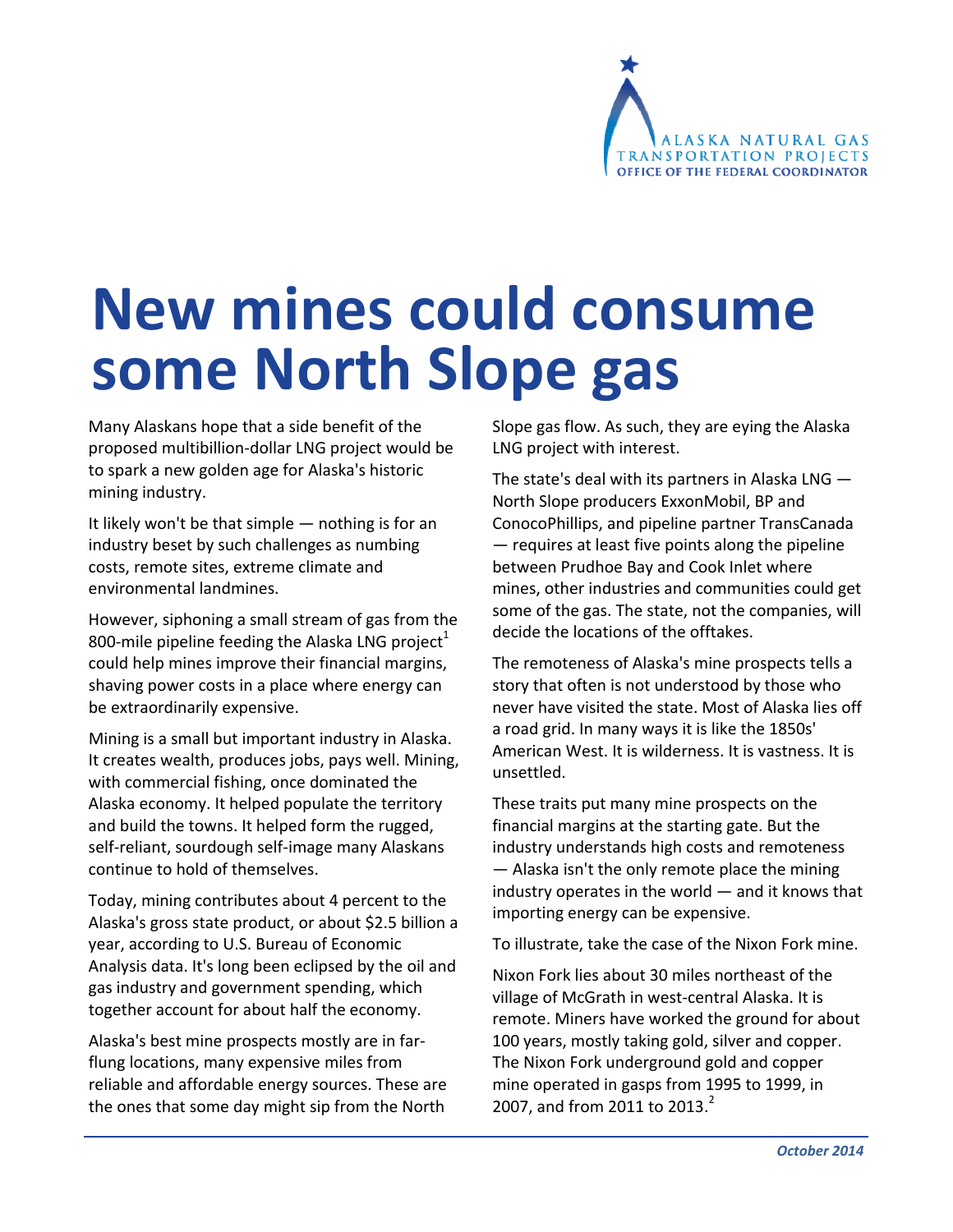

# **New mines could consume some North Slope gas**

Many Alaskans hope that a side benefit of the proposed multibillion‐dollar LNG project would be to spark a new golden age for Alaska's historic mining industry.

It likely won't be that simple — nothing is for an industry beset by such challenges as numbing costs, remote sites, extreme climate and environmental landmines.

However, siphoning a small stream of gas from the 800-mile pipeline feeding the Alaska LNG project $^1$ could help mines improve their financial margins, shaving power costs in a place where energy can be extraordinarily expensive.

Mining is a small but important industry in Alaska. It creates wealth, produces jobs, pays well. Mining, with commercial fishing, once dominated the Alaska economy. It helped populate the territory and build the towns. It helped form the rugged, self-reliant, sourdough self-image many Alaskans continue to hold of themselves.

Today, mining contributes about 4 percent to the Alaska's gross state product, or about \$2.5 billion a year, according to U.S. Bureau of Economic Analysis data. It's long been eclipsed by the oil and gas industry and government spending, which together account for about half the economy.

Alaska's best mine prospects mostly are in far‐ flung locations, many expensive miles from reliable and affordable energy sources. These are the ones that some day might sip from the North

Slope gas flow. As such, they are eying the Alaska LNG project with interest.

The state's deal with its partners in Alaska LNG  $-$ North Slope producers ExxonMobil, BP and ConocoPhillips, and pipeline partner TransCanada — requires at least five points along the pipeline between Prudhoe Bay and Cook Inlet where mines, other industries and communities could get some of the gas. The state, not the companies, will decide the locations of the offtakes.

The remoteness of Alaska's mine prospects tells a story that often is not understood by those who never have visited the state. Most of Alaska lies off a road grid. In many ways it is like the 1850s' American West. It is wilderness. It is vastness. It is unsettled.

These traits put many mine prospects on the financial margins at the starting gate. But the industry understands high costs and remoteness — Alaska isn't the only remote place the mining industry operates in the world — and it knows that importing energy can be expensive.

To illustrate, take the case of the Nixon Fork mine.

Nixon Fork lies about 30 miles northeast of the village of McGrath in west‐central Alaska. It is remote. Miners have worked the ground for about 100 years, mostly taking gold, silver and copper. The Nixon Fork underground gold and copper mine operated in gasps from 1995 to 1999, in 2007, and from 2011 to 2013.<sup>2</sup>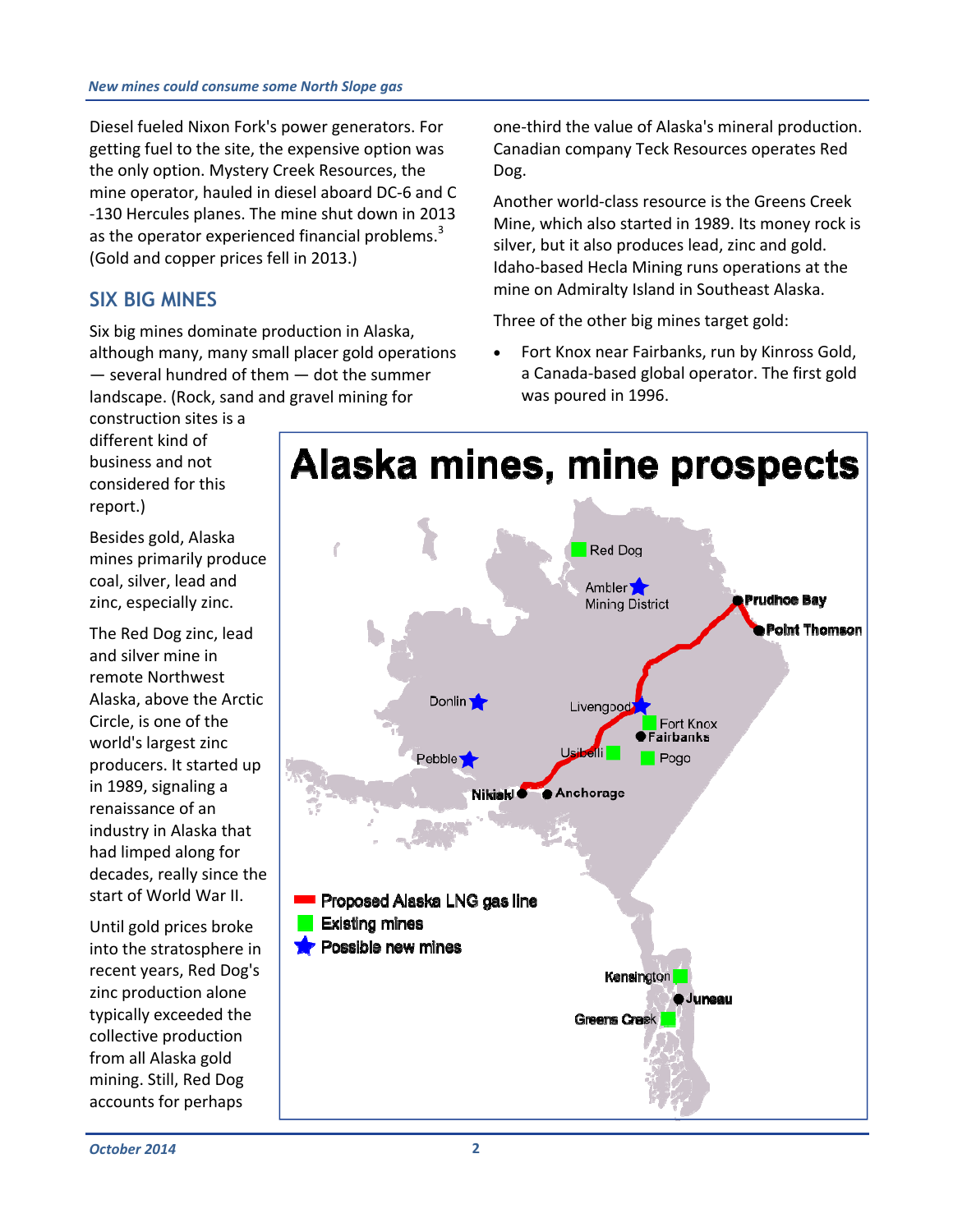Diesel fueled Nixon Fork's power generators. For getting fuel to the site, the expensive option was the only option. Mystery Creek Resources, the mine operator, hauled in diesel aboard DC‐6 and C ‐130 Hercules planes. The mine shut down in 2013 as the operator experienced financial problems.<sup>3</sup> (Gold and copper prices fell in 2013.)

#### **SIX BIG MINES**

construction sites is a different kind of

Six big mines dominate production in Alaska, although many, many small placer gold operations — several hundred of them — dot the summer landscape. (Rock, sand and gravel mining for

one‐third the value of Alaska's mineral production. Canadian company Teck Resources operates Red Dog.

Another world‐class resource is the Greens Creek Mine, which also started in 1989. Its money rock is silver, but it also produces lead, zinc and gold. Idaho‐based Hecla Mining runs operations at the mine on Admiralty Island in Southeast Alaska.

Three of the other big mines target gold:

 Fort Knox near Fairbanks, run by Kinross Gold, a Canada‐based global operator. The first gold was poured in 1996.

business and not considered for this report.) Besides gold, Alaska mines primarily produce coal, silver, lead and zinc, especially zinc. The Red Dog zinc, lead

and silver mine in remote Northwest Alaska, above the Arctic Circle, is one of the world's largest zinc producers. It started up in 1989, signaling a renaissance of an industry in Alaska that had limped along for decades, really since the start of World War II.

Until gold prices broke into the stratosphere in recent years, Red Dog's zinc production alone typically exceeded the collective production from all Alaska gold mining. Still, Red Dog accounts for perhaps

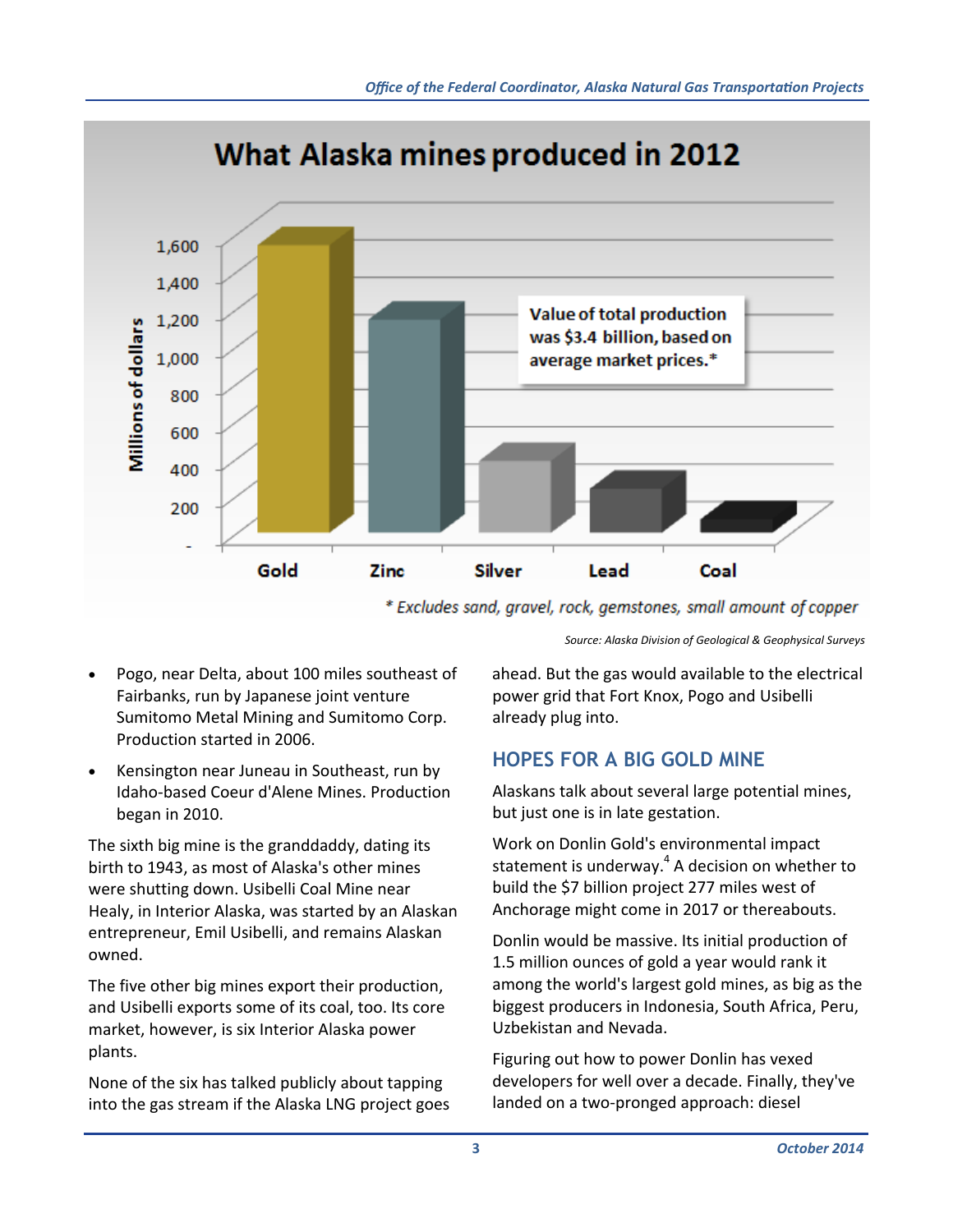

\* Excludes sand, gravel, rock, gemstones, small amount of copper

*Source: Alaska Division of Geological & Geophysical Surveys*

- Pogo, near Delta, about 100 miles southeast of Fairbanks, run by Japanese joint venture Sumitomo Metal Mining and Sumitomo Corp. Production started in 2006.
- Kensington near Juneau in Southeast, run by Idaho‐based Coeur d'Alene Mines. Production began in 2010.

The sixth big mine is the granddaddy, dating its birth to 1943, as most of Alaska's other mines were shutting down. Usibelli Coal Mine near Healy, in Interior Alaska, was started by an Alaskan entrepreneur, Emil Usibelli, and remains Alaskan owned.

The five other big mines export their production, and Usibelli exports some of its coal, too. Its core market, however, is six Interior Alaska power plants.

None of the six has talked publicly about tapping into the gas stream if the Alaska LNG project goes ahead. But the gas would available to the electrical power grid that Fort Knox, Pogo and Usibelli already plug into.

#### **HOPES FOR A BIG GOLD MINE**

Alaskans talk about several large potential mines, but just one is in late gestation.

Work on Donlin Gold's environmental impact statement is underway. $4$  A decision on whether to build the \$7 billion project 277 miles west of Anchorage might come in 2017 or thereabouts.

Donlin would be massive. Its initial production of 1.5 million ounces of gold a year would rank it among the world's largest gold mines, as big as the biggest producers in Indonesia, South Africa, Peru, Uzbekistan and Nevada.

Figuring out how to power Donlin has vexed developers for well over a decade. Finally, they've landed on a two‐pronged approach: diesel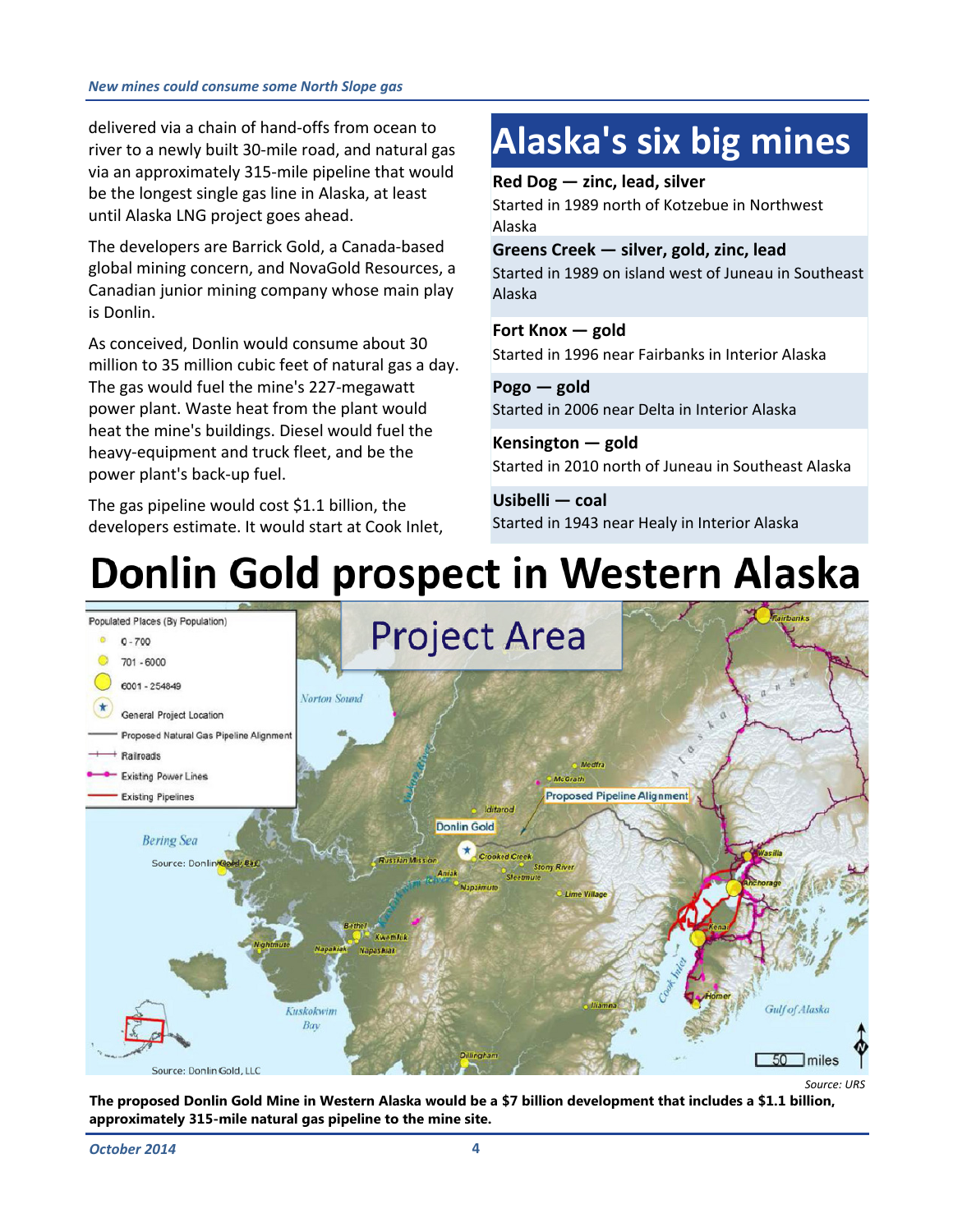delivered via a chain of hand‐offs from ocean to river to a newly built 30‐mile road, and natural gas via an approximately 315‐mile pipeline that would be the longest single gas line in Alaska, at least until Alaska LNG project goes ahead.

The developers are Barrick Gold, a Canada‐based global mining concern, and NovaGold Resources, a Canadian junior mining company whose main play is Donlin.

As conceived, Donlin would consume about 30 million to 35 million cubic feet of natural gas a day. The gas would fuel the mine's 227‐megawatt power plant. Waste heat from the plant would heat the mine's buildings. Diesel would fuel the heavy‐equipment and truck fleet, and be the power plant's back‐up fuel.

The gas pipeline would cost \$1.1 billion, the developers estimate. It would start at Cook Inlet,

## **Alaska's six big mines**

**Red Dog — zinc, lead, silver**

Started in 1989 north of Kotzebue in Northwest Alaska

**Greens Creek — silver, gold, zinc, lead** Started in 1989 on island west of Juneau in Southeast Alaska

**Fort Knox — gold** Started in 1996 near Fairbanks in Interior Alaska

**Pogo — gold** Started in 2006 near Delta in Interior Alaska

**Kensington — gold** Started in 2010 north of Juneau in Southeast Alaska

**Usibelli — coal** Started in 1943 near Healy in Interior Alaska

## Donlin Gold prospect in Western Alaska



*Source: URS*

**The proposed Donlin Gold Mine in Western Alaska would be a \$7 billion development that includes a \$1.1 billion, approximately 315-mile natural gas pipeline to the mine site.**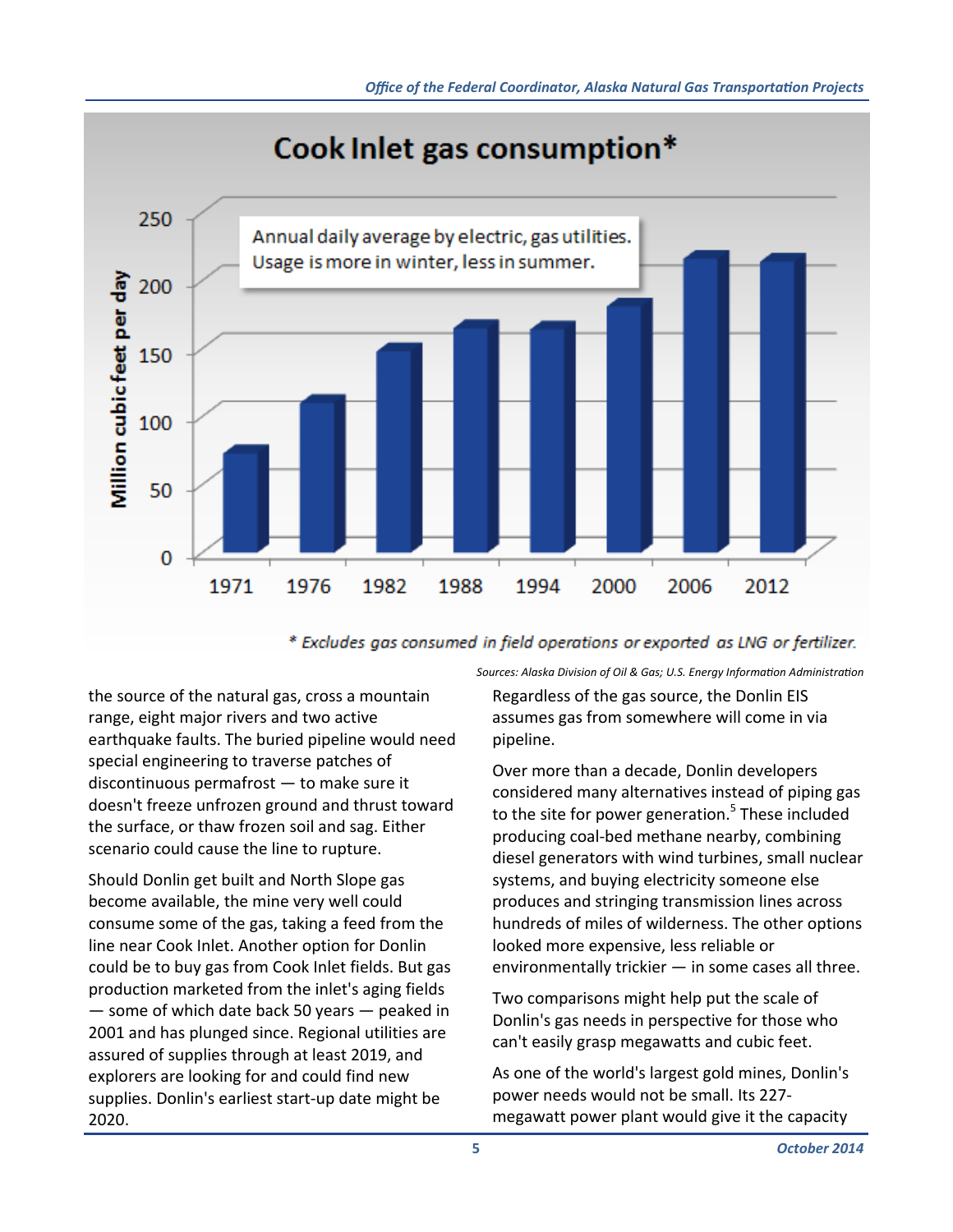



\* Excludes gas consumed in field operations or exported as LNG or fertilizer.

the source of the natural gas, cross a mountain range, eight major rivers and two active earthquake faults. The buried pipeline would need special engineering to traverse patches of discontinuous permafrost — to make sure it doesn't freeze unfrozen ground and thrust toward the surface, or thaw frozen soil and sag. Either scenario could cause the line to rupture.

Should Donlin get built and North Slope gas become available, the mine very well could consume some of the gas, taking a feed from the line near Cook Inlet. Another option for Donlin could be to buy gas from Cook Inlet fields. But gas production marketed from the inlet's aging fields — some of which date back 50 years — peaked in 2001 and has plunged since. Regional utilities are assured of supplies through at least 2019, and explorers are looking for and could find new supplies. Donlin's earliest start‐up date might be 2020.

*Sources: Alaska Division of Oil & Gas; U.S. Energy InformaƟon AdministraƟon*

Regardless of the gas source, the Donlin EIS assumes gas from somewhere will come in via pipeline.

Over more than a decade, Donlin developers considered many alternatives instead of piping gas to the site for power generation.<sup>5</sup> These included producing coal‐bed methane nearby, combining diesel generators with wind turbines, small nuclear systems, and buying electricity someone else produces and stringing transmission lines across hundreds of miles of wilderness. The other options looked more expensive, less reliable or environmentally trickier — in some cases all three.

Two comparisons might help put the scale of Donlin's gas needs in perspective for those who can't easily grasp megawatts and cubic feet.

As one of the world's largest gold mines, Donlin's power needs would not be small. Its 227‐ megawatt power plant would give it the capacity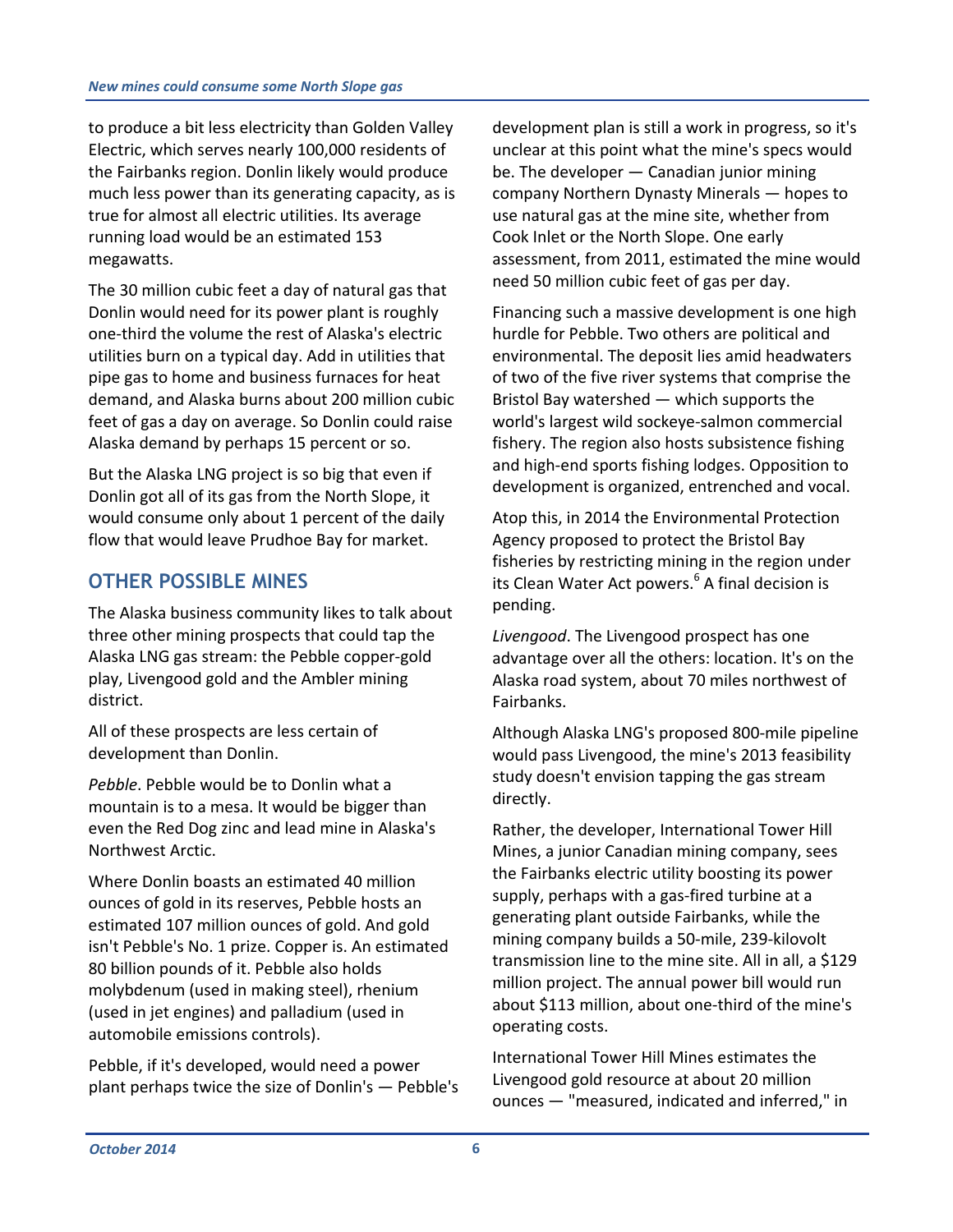to produce a bit less electricity than Golden Valley Electric, which serves nearly 100,000 residents of the Fairbanks region. Donlin likely would produce much less power than its generating capacity, as is true for almost all electric utilities. Its average running load would be an estimated 153 megawatts.

The 30 million cubic feet a day of natural gas that Donlin would need for its power plant is roughly one‐third the volume the rest of Alaska's electric utilities burn on a typical day. Add in utilities that pipe gas to home and business furnaces for heat demand, and Alaska burns about 200 million cubic feet of gas a day on average. So Donlin could raise Alaska demand by perhaps 15 percent or so.

But the Alaska LNG project is so big that even if Donlin got all of its gas from the North Slope, it would consume only about 1 percent of the daily flow that would leave Prudhoe Bay for market.

#### **OTHER POSSIBLE MINES**

The Alaska business community likes to talk about three other mining prospects that could tap the Alaska LNG gas stream: the Pebble copper‐gold play, Livengood gold and the Ambler mining district.

All of these prospects are less certain of development than Donlin.

*Pebble*. Pebble would be to Donlin what a mountain is to a mesa. It would be bigger than even the Red Dog zinc and lead mine in Alaska's Northwest Arctic.

Where Donlin boasts an estimated 40 million ounces of gold in its reserves, Pebble hosts an estimated 107 million ounces of gold. And gold isn't Pebble's No. 1 prize. Copper is. An estimated 80 billion pounds of it. Pebble also holds molybdenum (used in making steel), rhenium (used in jet engines) and palladium (used in automobile emissions controls).

Pebble, if it's developed, would need a power plant perhaps twice the size of Donlin's — Pebble's development plan is still a work in progress, so it's unclear at this point what the mine's specs would be. The developer — Canadian junior mining company Northern Dynasty Minerals — hopes to use natural gas at the mine site, whether from Cook Inlet or the North Slope. One early assessment, from 2011, estimated the mine would need 50 million cubic feet of gas per day.

Financing such a massive development is one high hurdle for Pebble. Two others are political and environmental. The deposit lies amid headwaters of two of the five river systems that comprise the Bristol Bay watershed — which supports the world's largest wild sockeye‐salmon commercial fishery. The region also hosts subsistence fishing and high‐end sports fishing lodges. Opposition to development is organized, entrenched and vocal.

Atop this, in 2014 the Environmental Protection Agency proposed to protect the Bristol Bay fisheries by restricting mining in the region under its Clean Water Act powers.<sup>6</sup> A final decision is pending.

*Livengood*. The Livengood prospect has one advantage over all the others: location. It's on the Alaska road system, about 70 miles northwest of Fairbanks.

Although Alaska LNG's proposed 800‐mile pipeline would pass Livengood, the mine's 2013 feasibility study doesn't envision tapping the gas stream directly.

Rather, the developer, International Tower Hill Mines, a junior Canadian mining company, sees the Fairbanks electric utility boosting its power supply, perhaps with a gas‐fired turbine at a generating plant outside Fairbanks, while the mining company builds a 50‐mile, 239‐kilovolt transmission line to the mine site. All in all, a \$129 million project. The annual power bill would run about \$113 million, about one‐third of the mine's operating costs.

International Tower Hill Mines estimates the Livengood gold resource at about 20 million ounces — "measured, indicated and inferred," in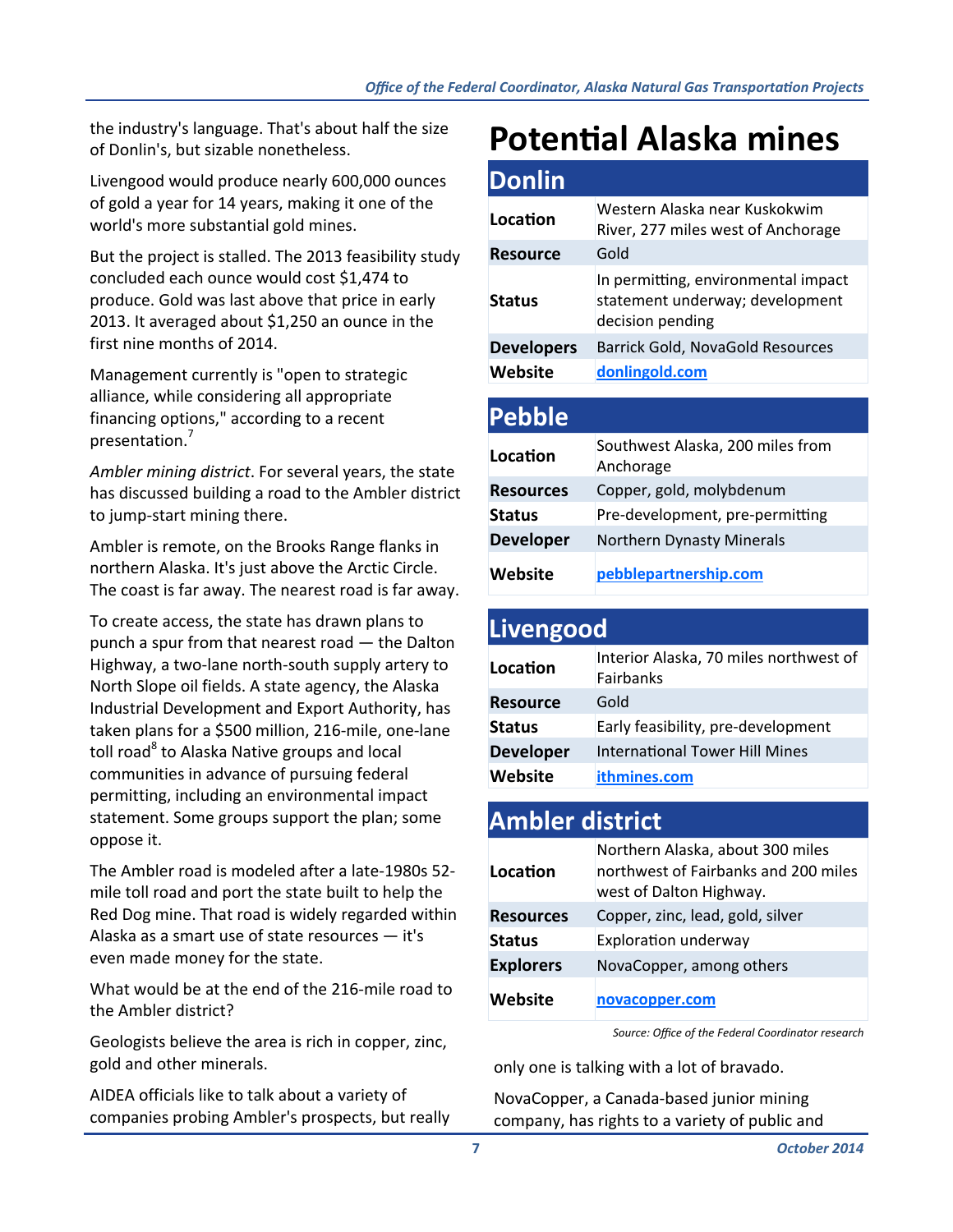the industry's language. That's about half the size of Donlin's, but sizable nonetheless.

Livengood would produce nearly 600,000 ounces of gold a year for 14 years, making it one of the world's more substantial gold mines.

But the project is stalled. The 2013 feasibility study concluded each ounce would cost \$1,474 to produce. Gold was last above that price in early 2013. It averaged about \$1,250 an ounce in the first nine months of 2014.

Management currently is "open to strategic alliance, while considering all appropriate financing options," according to a recent presentation.<sup>7</sup>

*Ambler mining district*. For several years, the state has discussed building a road to the Ambler district to jump‐start mining there.

Ambler is remote, on the Brooks Range flanks in northern Alaska. It's just above the Arctic Circle. The coast is far away. The nearest road is far away.

To create access, the state has drawn plans to punch a spur from that nearest road — the Dalton Highway, a two‐lane north‐south supply artery to North Slope oil fields. A state agency, the Alaska Industrial Development and Export Authority, has taken plans for a \$500 million, 216‐mile, one‐lane toll road<sup>8</sup> to Alaska Native groups and local communities in advance of pursuing federal permitting, including an environmental impact statement. Some groups support the plan; some oppose it.

The Ambler road is modeled after a late‐1980s 52‐ mile toll road and port the state built to help the Red Dog mine. That road is widely regarded within Alaska as a smart use of state resources — it's even made money for the state.

What would be at the end of the 216‐mile road to the Ambler district?

Geologists believe the area is rich in copper, zinc, gold and other minerals.

AIDEA officials like to talk about a variety of companies probing Ambler's prospects, but really

### **PotenƟal Alaska mines**

| <b>Donlin</b>     |                                                                                            |
|-------------------|--------------------------------------------------------------------------------------------|
| Location          | Western Alaska near Kuskokwim<br>River, 277 miles west of Anchorage                        |
| <b>Resource</b>   | Gold                                                                                       |
| <b>Status</b>     | In permitting, environmental impact<br>statement underway; development<br>decision pending |
| <b>Developers</b> | Barrick Gold, NovaGold Resources                                                           |
| Website           | donlingold.com                                                                             |
|                   |                                                                                            |
| <b>Pebble</b>     |                                                                                            |

| -----            |                                               |
|------------------|-----------------------------------------------|
| Location         | Southwest Alaska, 200 miles from<br>Anchorage |
| <b>Resources</b> | Copper, gold, molybdenum                      |
| <b>Status</b>    | Pre-development, pre-permitting               |
| <b>Developer</b> | Northern Dynasty Minerals                     |
| <b>Website</b>   | pebblepartnership.com                         |

#### **Livengood**

| Location         | Interior Alaska, 70 miles northwest of<br>Fairbanks |
|------------------|-----------------------------------------------------|
| <b>Resource</b>  | Gold                                                |
| <b>Status</b>    | Early feasibility, pre-development                  |
| <b>Developer</b> | <b>International Tower Hill Mines</b>               |
| <b>Website</b>   | ithmines.com                                        |

#### **Ambler district**

| Location         | Northern Alaska, about 300 miles<br>northwest of Fairbanks and 200 miles<br>west of Dalton Highway. |
|------------------|-----------------------------------------------------------------------------------------------------|
| <b>Resources</b> | Copper, zinc, lead, gold, silver                                                                    |
| <b>Status</b>    | <b>Exploration underway</b>                                                                         |
| <b>Explorers</b> | NovaCopper, among others                                                                            |
| <b>Website</b>   | novacopper.com                                                                                      |

*Source: Office of the Federal Coordinator research*

only one is talking with a lot of bravado.

NovaCopper, a Canada‐based junior mining company, has rights to a variety of public and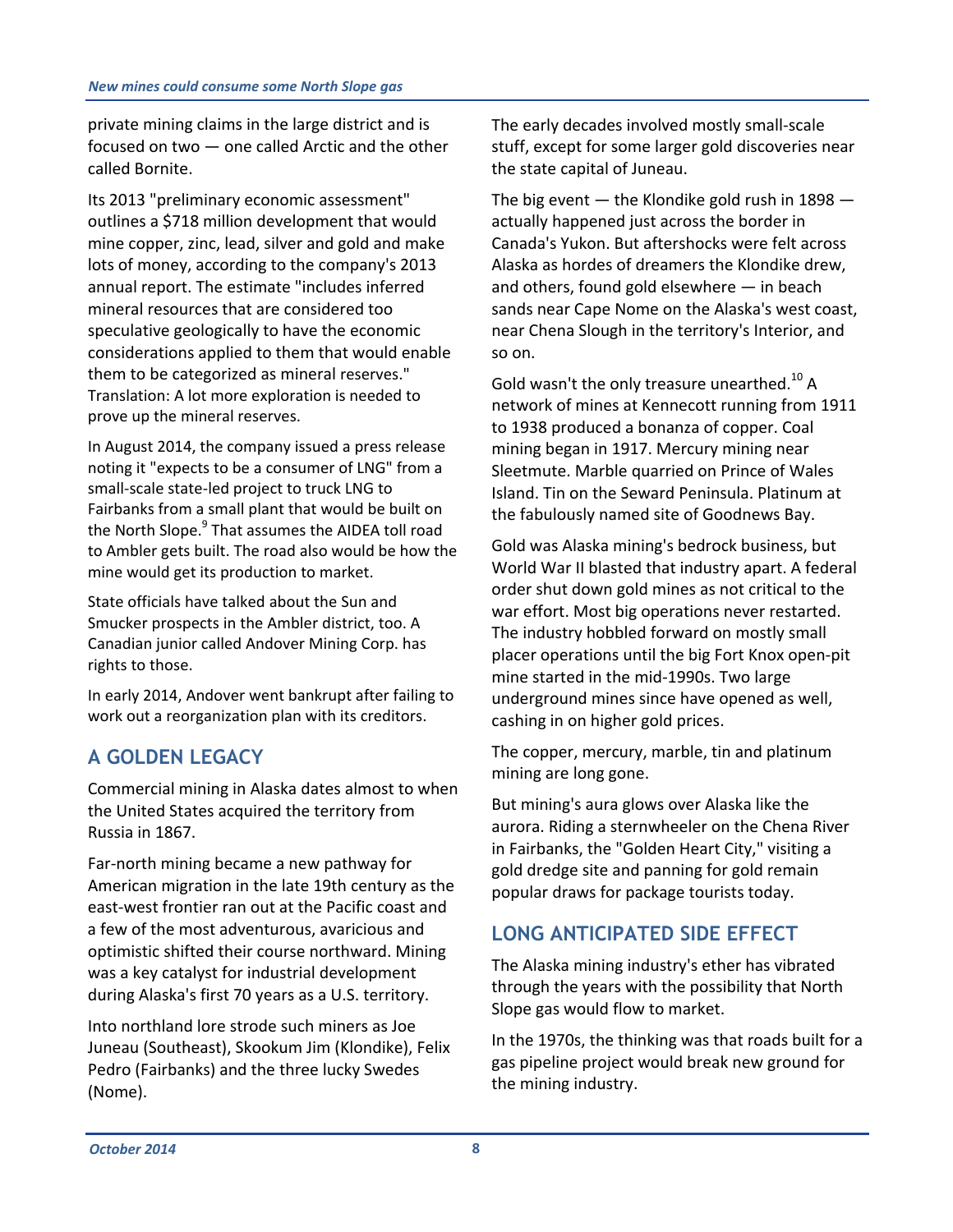private mining claims in the large district and is focused on two — one called Arctic and the other called Bornite.

Its 2013 "preliminary economic assessment" outlines a \$718 million development that would mine copper, zinc, lead, silver and gold and make lots of money, according to the company's 2013 annual report. The estimate "includes inferred mineral resources that are considered too speculative geologically to have the economic considerations applied to them that would enable them to be categorized as mineral reserves." Translation: A lot more exploration is needed to prove up the mineral reserves.

In August 2014, the company issued a press release noting it "expects to be a consumer of LNG" from a small‐scale state‐led project to truck LNG to Fairbanks from a small plant that would be built on the North Slope.<sup>9</sup> That assumes the AIDEA toll road to Ambler gets built. The road also would be how the mine would get its production to market.

State officials have talked about the Sun and Smucker prospects in the Ambler district, too. A Canadian junior called Andover Mining Corp. has rights to those.

In early 2014, Andover went bankrupt after failing to work out a reorganization plan with its creditors.

#### **A GOLDEN LEGACY**

Commercial mining in Alaska dates almost to when the United States acquired the territory from Russia in 1867.

Far‐north mining became a new pathway for American migration in the late 19th century as the east‐west frontier ran out at the Pacific coast and a few of the most adventurous, avaricious and optimistic shifted their course northward. Mining was a key catalyst for industrial development during Alaska's first 70 years as a U.S. territory.

Into northland lore strode such miners as Joe Juneau (Southeast), Skookum Jim (Klondike), Felix Pedro (Fairbanks) and the three lucky Swedes (Nome).

The early decades involved mostly small‐scale stuff, except for some larger gold discoveries near the state capital of Juneau.

The big event  $-$  the Klondike gold rush in 1898  $$ actually happened just across the border in Canada's Yukon. But aftershocks were felt across Alaska as hordes of dreamers the Klondike drew, and others, found gold elsewhere — in beach sands near Cape Nome on the Alaska's west coast, near Chena Slough in the territory's Interior, and so on.

Gold wasn't the only treasure unearthed. $^{10}$  A network of mines at Kennecott running from 1911 to 1938 produced a bonanza of copper. Coal mining began in 1917. Mercury mining near Sleetmute. Marble quarried on Prince of Wales Island. Tin on the Seward Peninsula. Platinum at the fabulously named site of Goodnews Bay.

Gold was Alaska mining's bedrock business, but World War II blasted that industry apart. A federal order shut down gold mines as not critical to the war effort. Most big operations never restarted. The industry hobbled forward on mostly small placer operations until the big Fort Knox open‐pit mine started in the mid‐1990s. Two large underground mines since have opened as well, cashing in on higher gold prices.

The copper, mercury, marble, tin and platinum mining are long gone.

But mining's aura glows over Alaska like the aurora. Riding a sternwheeler on the Chena River in Fairbanks, the "Golden Heart City," visiting a gold dredge site and panning for gold remain popular draws for package tourists today.

#### **LONG ANTICIPATED SIDE EFFECT**

The Alaska mining industry's ether has vibrated through the years with the possibility that North Slope gas would flow to market.

In the 1970s, the thinking was that roads built for a gas pipeline project would break new ground for the mining industry.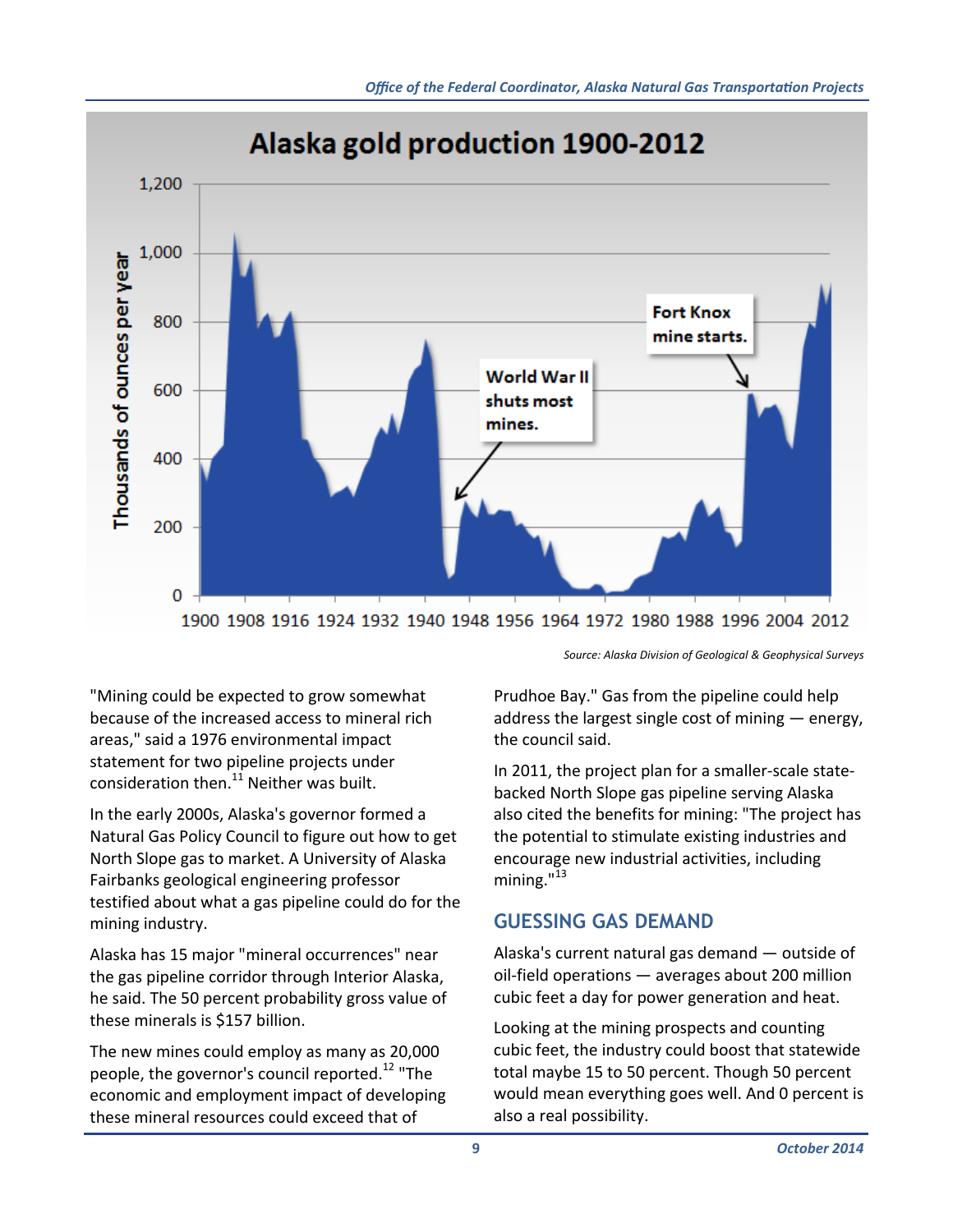

*Source: Alaska Division of Geological & Geophysical Surveys*

"Mining could be expected to grow somewhat because of the increased access to mineral rich areas," said a 1976 environmental impact statement for two pipeline projects under consideration then. $^{11}$  Neither was built.

In the early 2000s, Alaska's governor formed a Natural Gas Policy Council to figure out how to get North Slope gas to market. A University of Alaska Fairbanks geological engineering professor testified about what a gas pipeline could do for the mining industry.

Alaska has 15 major "mineral occurrences" near the gas pipeline corridor through Interior Alaska, he said. The 50 percent probability gross value of these minerals is \$157 billion.

The new mines could employ as many as 20,000 people, the governor's council reported.<sup>12</sup> "The economic and employment impact of developing these mineral resources could exceed that of

Prudhoe Bay." Gas from the pipeline could help address the largest single cost of mining — energy, the council said.

In 2011, the project plan for a smaller‐scale state‐ backed North Slope gas pipeline serving Alaska also cited the benefits for mining: "The project has the potential to stimulate existing industries and encourage new industrial activities, including mining. $13$ 

#### **GUESSING GAS DEMAND**

Alaska's current natural gas demand — outside of oil‐field operations — averages about 200 million cubic feet a day for power generation and heat.

Looking at the mining prospects and counting cubic feet, the industry could boost that statewide total maybe 15 to 50 percent. Though 50 percent would mean everything goes well. And 0 percent is also a real possibility.